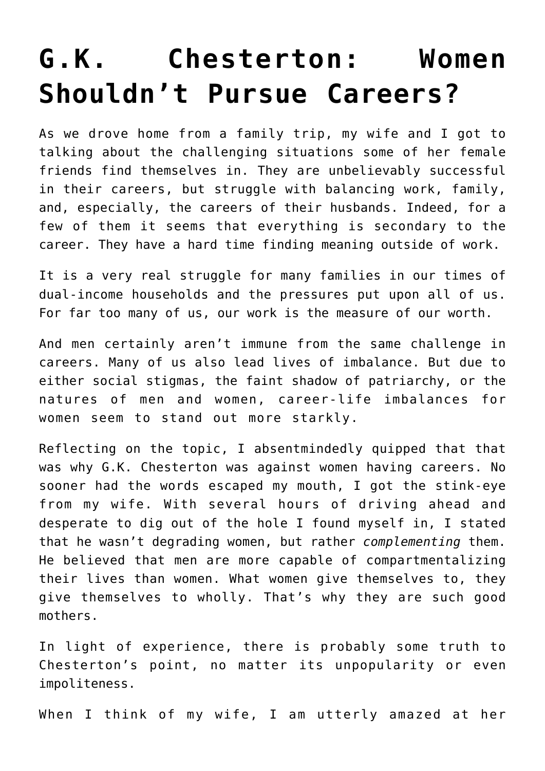## **[G.K. Chesterton: Women](https://intellectualtakeout.org/2018/03/g-k-chesterton-women-shouldnt-pursue-careers/) [Shouldn't Pursue Careers?](https://intellectualtakeout.org/2018/03/g-k-chesterton-women-shouldnt-pursue-careers/)**

As we drove home from a family trip, my wife and I got to talking about the challenging situations some of her female friends find themselves in. They are unbelievably successful in their careers, but struggle with balancing work, family, and, especially, the careers of their husbands. Indeed, for a few of them it seems that everything is secondary to the career. They have a hard time finding meaning outside of work.

It is a very real struggle for many families in our times of dual-income households and the pressures put upon all of us. For far too many of us, our work is the measure of our worth.

And men certainly aren't immune from the same challenge in careers. Many of us also lead lives of imbalance. But due to either social stigmas, the faint shadow of patriarchy, or the natures of men and women, career-life imbalances for women seem to stand out more starkly.

Reflecting on the topic, I absentmindedly quipped that that was why G.K. Chesterton was against women having careers. No sooner had the words escaped my mouth, I got the stink-eye from my wife. With several hours of driving ahead and desperate to dig out of the hole I found myself in, I stated that he wasn't degrading women, but rather *complementing* them. He believed that men are more capable of compartmentalizing their lives than women. What women give themselves to, they give themselves to wholly. That's why they are such good mothers.

In light of experience, there is probably some truth to Chesterton's point, no matter its unpopularity or even impoliteness.

When I think of my wife, I am utterly amazed at her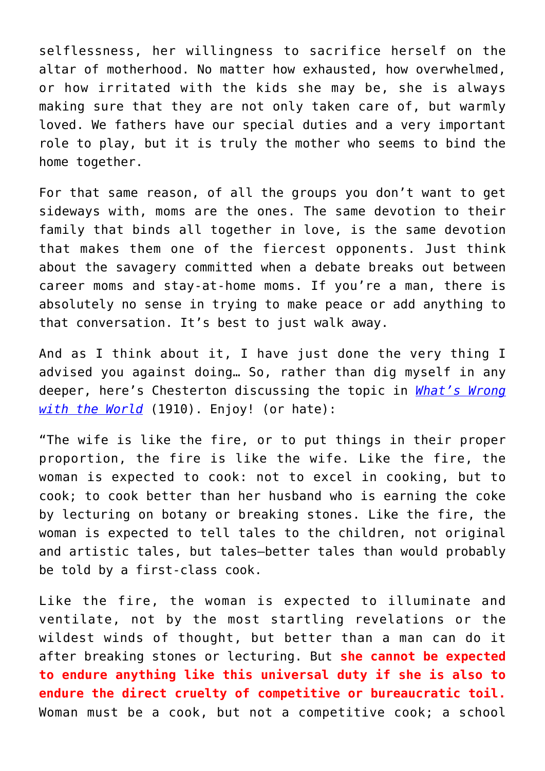selflessness, her willingness to sacrifice herself on the altar of motherhood. No matter how exhausted, how overwhelmed, or how irritated with the kids she may be, she is always making sure that they are not only taken care of, but warmly loved. We fathers have our special duties and a very important role to play, but it is truly the mother who seems to bind the home together.

For that same reason, of all the groups you don't want to get sideways with, moms are the ones. The same devotion to their family that binds all together in love, is the same devotion that makes them one of the fiercest opponents. Just think about the savagery committed when a debate breaks out between career moms and stay-at-home moms. If you're a man, there is absolutely no sense in trying to make peace or add anything to that conversation. It's best to just walk away.

And as I think about it, I have just done the very thing I advised you against doing… So, rather than dig myself in any deeper, here's Chesterton discussing the topic in *[What's Wrong](https://www.gutenberg.org/files/1717/1717-h/1717-h.htm#link2H_4_0009) [with the World](https://www.gutenberg.org/files/1717/1717-h/1717-h.htm#link2H_4_0009)* (1910). Enjoy! (or hate):

"The wife is like the fire, or to put things in their proper proportion, the fire is like the wife. Like the fire, the woman is expected to cook: not to excel in cooking, but to cook; to cook better than her husband who is earning the coke by lecturing on botany or breaking stones. Like the fire, the woman is expected to tell tales to the children, not original and artistic tales, but tales—better tales than would probably be told by a first-class cook.

Like the fire, the woman is expected to illuminate and ventilate, not by the most startling revelations or the wildest winds of thought, but better than a man can do it after breaking stones or lecturing. But **she cannot be expected to endure anything like this universal duty if she is also to endure the direct cruelty of competitive or bureaucratic toil.** Woman must be a cook, but not a competitive cook; a school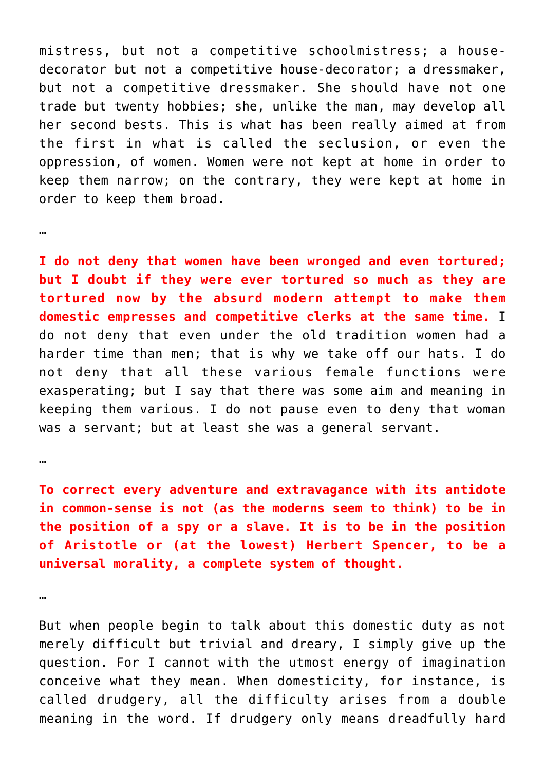mistress, but not a competitive schoolmistress; a housedecorator but not a competitive house-decorator; a dressmaker, but not a competitive dressmaker. She should have not one trade but twenty hobbies; she, unlike the man, may develop all her second bests. This is what has been really aimed at from the first in what is called the seclusion, or even the oppression, of women. Women were not kept at home in order to keep them narrow; on the contrary, they were kept at home in order to keep them broad.

**I do not deny that women have been wronged and even tortured; but I doubt if they were ever tortured so much as they are tortured now by the absurd modern attempt to make them domestic empresses and competitive clerks at the same time.** I do not deny that even under the old tradition women had a harder time than men; that is why we take off our hats. I do not deny that all these various female functions were exasperating; but I say that there was some aim and meaning in keeping them various. I do not pause even to deny that woman was a servant; but at least she was a general servant.

…

…

**To correct every adventure and extravagance with its antidote in common-sense is not (as the moderns seem to think) to be in the position of a spy or a slave. It is to be in the position of Aristotle or (at the lowest) Herbert Spencer, to be a universal morality, a complete system of thought.**

…

But when people begin to talk about this domestic duty as not merely difficult but trivial and dreary, I simply give up the question. For I cannot with the utmost energy of imagination conceive what they mean. When domesticity, for instance, is called drudgery, all the difficulty arises from a double meaning in the word. If drudgery only means dreadfully hard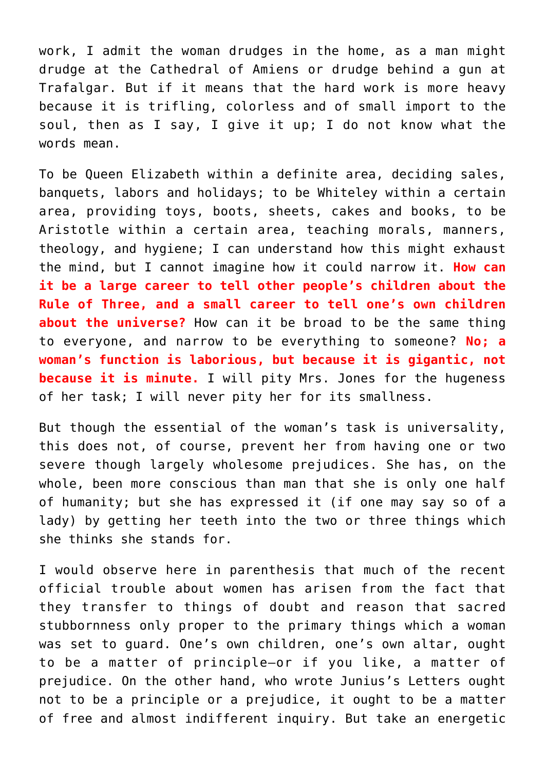work, I admit the woman drudges in the home, as a man might drudge at the Cathedral of Amiens or drudge behind a gun at Trafalgar. But if it means that the hard work is more heavy because it is trifling, colorless and of small import to the soul, then as I say, I give it up; I do not know what the words mean.

To be Queen Elizabeth within a definite area, deciding sales, banquets, labors and holidays; to be Whiteley within a certain area, providing toys, boots, sheets, cakes and books, to be Aristotle within a certain area, teaching morals, manners, theology, and hygiene; I can understand how this might exhaust the mind, but I cannot imagine how it could narrow it. **How can it be a large career to tell other people's children about the Rule of Three, and a small career to tell one's own children about the universe?** How can it be broad to be the same thing to everyone, and narrow to be everything to someone? **No; a woman's function is laborious, but because it is gigantic, not because it is minute.** I will pity Mrs. Jones for the hugeness of her task; I will never pity her for its smallness.

But though the essential of the woman's task is universality, this does not, of course, prevent her from having one or two severe though largely wholesome prejudices. She has, on the whole, been more conscious than man that she is only one half of humanity; but she has expressed it (if one may say so of a lady) by getting her teeth into the two or three things which she thinks she stands for.

I would observe here in parenthesis that much of the recent official trouble about women has arisen from the fact that they transfer to things of doubt and reason that sacred stubbornness only proper to the primary things which a woman was set to guard. One's own children, one's own altar, ought to be a matter of principle—or if you like, a matter of prejudice. On the other hand, who wrote Junius's Letters ought not to be a principle or a prejudice, it ought to be a matter of free and almost indifferent inquiry. But take an energetic